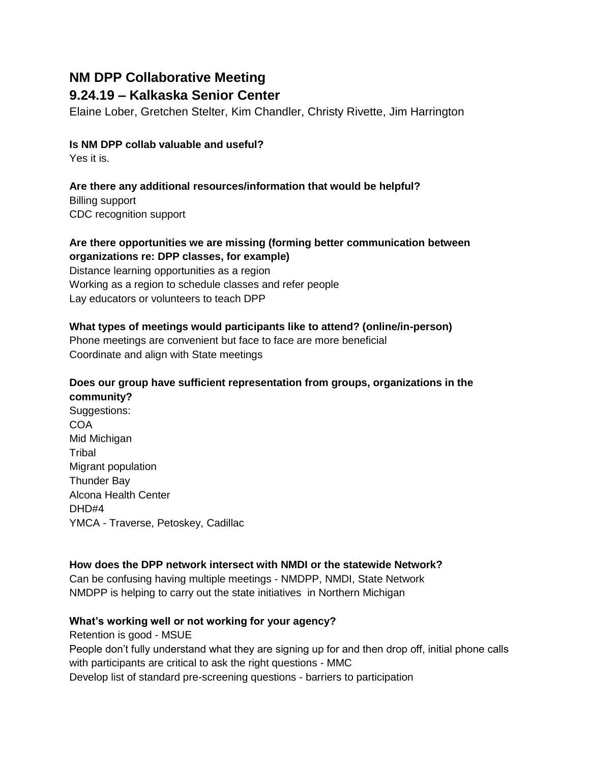# **NM DPP Collaborative Meeting**

## **9.24.19 – Kalkaska Senior Center**

Elaine Lober, Gretchen Stelter, Kim Chandler, Christy Rivette, Jim Harrington

### **Is NM DPP collab valuable and useful?**

Yes it is.

### **Are there any additional resources/information that would be helpful?**

Billing support CDC recognition support

### **Are there opportunities we are missing (forming better communication between organizations re: DPP classes, for example)**

Distance learning opportunities as a region Working as a region to schedule classes and refer people Lay educators or volunteers to teach DPP

### **What types of meetings would participants like to attend? (online/in-person)**

Phone meetings are convenient but face to face are more beneficial Coordinate and align with State meetings

### **Does our group have sufficient representation from groups, organizations in the community?**

Suggestions: **COA** Mid Michigan **Tribal** Migrant population Thunder Bay Alcona Health Center DHD#4 YMCA - Traverse, Petoskey, Cadillac

### **How does the DPP network intersect with NMDI or the statewide Network?**

Can be confusing having multiple meetings - NMDPP, NMDI, State Network NMDPP is helping to carry out the state initiatives in Northern Michigan

### **What's working well or not working for your agency?**

Retention is good - MSUE

People don't fully understand what they are signing up for and then drop off, initial phone calls with participants are critical to ask the right questions - MMC Develop list of standard pre-screening questions - barriers to participation